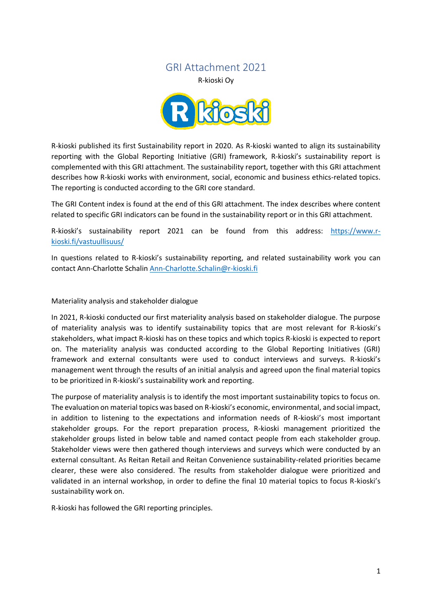# GRI Attachment 2021

<span id="page-0-0"></span>R-kioski Oy



R-kioski published its first Sustainability report in 2020. As R-kioski wanted to align its sustainability reporting with the Global Reporting Initiative (GRI) framework, R-kioski's sustainability report is complemented with this GRI attachment. The sustainability report, together with this GRI attachment describes how R-kioski works with environment, social, economic and business ethics-related topics. The reporting is conducted according to the GRI core standard.

The GRI Content index is found at the end of this GRI attachment. The index describes where content related to specific GRI indicators can be found in the sustainability report or in this GRI attachment.

R-kioski's sustainability report 2021 can be found from this address: [https://www.r](https://www.r-kioski.fi/vastuullisuus/)[kioski.fi/vastuullisuus/](https://www.r-kioski.fi/vastuullisuus/)

In questions related to R-kioski's sustainability reporting, and related sustainability work you can contact Ann-Charlotte Schali[n Ann-Charlotte.Schalin@r-kioski.fi](mailto:Ann-Charlotte.Schalin@r-kioski.fi)

#### Materiality analysis and stakeholder dialogue

In 2021, R-kioski conducted our first materiality analysis based on stakeholder dialogue. The purpose of materiality analysis was to identify sustainability topics that are most relevant for R-kioski's stakeholders, what impact R-kioski has on these topics and which topics R-kioski is expected to report on. The materiality analysis was conducted according to the Global Reporting Initiatives (GRI) framework and external consultants were used to conduct interviews and surveys. R-kioski's management went through the results of an initial analysis and agreed upon the final material topics to be prioritized in R-kioski's sustainability work and reporting.

The purpose of materiality analysis is to identify the most important sustainability topics to focus on. The evaluation on material topics was based on R-kioski's economic, environmental, and social impact, in addition to listening to the expectations and information needs of R-kioski's most important stakeholder groups. For the report preparation process, R-kioski management prioritized the stakeholder groups listed in below table and named contact people from each stakeholder group. Stakeholder views were then gathered though interviews and surveys which were conducted by an external consultant. As Reitan Retail and Reitan Convenience sustainability-related priorities became clearer, these were also considered. The results from stakeholder dialogue were prioritized and validated in an internal workshop, in order to define the final 10 material topics to focus R-kioski's sustainability work on.

R-kioski has followed the GRI reporting principles.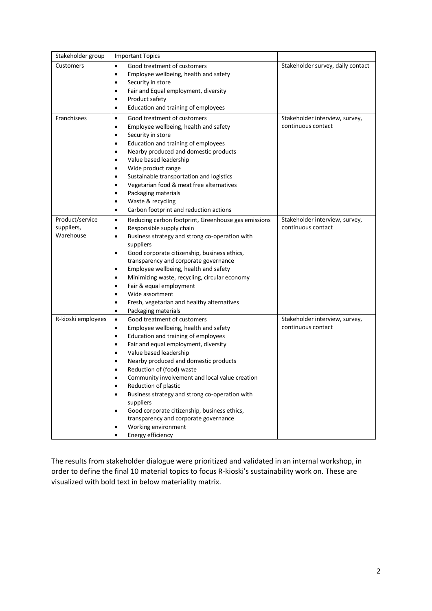| Stakeholder group  | <b>Important Topics</b>                                                                                                                                                                                                                                                                                                                                               |                                                      |
|--------------------|-----------------------------------------------------------------------------------------------------------------------------------------------------------------------------------------------------------------------------------------------------------------------------------------------------------------------------------------------------------------------|------------------------------------------------------|
| Customers          | Good treatment of customers                                                                                                                                                                                                                                                                                                                                           | Stakeholder survey, daily contact                    |
|                    | Employee wellbeing, health and safety<br>$\bullet$                                                                                                                                                                                                                                                                                                                    |                                                      |
|                    | Security in store<br>$\bullet$                                                                                                                                                                                                                                                                                                                                        |                                                      |
|                    | Fair and Equal employment, diversity<br>$\bullet$                                                                                                                                                                                                                                                                                                                     |                                                      |
|                    | Product safety<br>٠                                                                                                                                                                                                                                                                                                                                                   |                                                      |
|                    | Education and training of employees<br>$\bullet$                                                                                                                                                                                                                                                                                                                      |                                                      |
| Franchisees        | Good treatment of customers<br>$\bullet$<br>Employee wellbeing, health and safety<br>$\bullet$<br>Security in store<br>$\bullet$<br>Education and training of employees<br>$\bullet$<br>Nearby produced and domestic products<br>$\bullet$<br>Value based leadership<br>$\bullet$<br>Wide product range<br>$\bullet$<br>Sustainable transportation and logistics<br>٠ | Stakeholder interview, survey,<br>continuous contact |
|                    | Vegetarian food & meat free alternatives<br>$\bullet$                                                                                                                                                                                                                                                                                                                 |                                                      |
|                    | Packaging materials<br>$\bullet$                                                                                                                                                                                                                                                                                                                                      |                                                      |
|                    | Waste & recycling<br>$\bullet$                                                                                                                                                                                                                                                                                                                                        |                                                      |
|                    | Carbon footprint and reduction actions<br>$\bullet$                                                                                                                                                                                                                                                                                                                   |                                                      |
| Product/service    | Reducing carbon footprint, Greenhouse gas emissions<br>$\bullet$                                                                                                                                                                                                                                                                                                      | Stakeholder interview, survey,                       |
| suppliers,         | Responsible supply chain<br>$\bullet$                                                                                                                                                                                                                                                                                                                                 | continuous contact                                   |
| Warehouse          | Business strategy and strong co-operation with<br>$\bullet$                                                                                                                                                                                                                                                                                                           |                                                      |
|                    | suppliers                                                                                                                                                                                                                                                                                                                                                             |                                                      |
|                    | Good corporate citizenship, business ethics,<br>$\bullet$                                                                                                                                                                                                                                                                                                             |                                                      |
|                    | transparency and corporate governance                                                                                                                                                                                                                                                                                                                                 |                                                      |
|                    | Employee wellbeing, health and safety<br>٠                                                                                                                                                                                                                                                                                                                            |                                                      |
|                    | Minimizing waste, recycling, circular economy<br>$\bullet$                                                                                                                                                                                                                                                                                                            |                                                      |
|                    | Fair & equal employment<br>$\bullet$<br>Wide assortment<br>$\bullet$                                                                                                                                                                                                                                                                                                  |                                                      |
|                    | Fresh, vegetarian and healthy alternatives<br>$\bullet$                                                                                                                                                                                                                                                                                                               |                                                      |
|                    | Packaging materials<br>$\bullet$                                                                                                                                                                                                                                                                                                                                      |                                                      |
| R-kioski employees | Good treatment of customers<br>$\bullet$                                                                                                                                                                                                                                                                                                                              | Stakeholder interview, survey,                       |
|                    | Employee wellbeing, health and safety<br>$\bullet$                                                                                                                                                                                                                                                                                                                    | continuous contact                                   |
|                    | Education and training of employees<br>$\bullet$                                                                                                                                                                                                                                                                                                                      |                                                      |
|                    | Fair and equal employment, diversity<br>$\bullet$                                                                                                                                                                                                                                                                                                                     |                                                      |
|                    | Value based leadership<br>$\bullet$                                                                                                                                                                                                                                                                                                                                   |                                                      |
|                    | Nearby produced and domestic products<br>$\bullet$                                                                                                                                                                                                                                                                                                                    |                                                      |
|                    | Reduction of (food) waste                                                                                                                                                                                                                                                                                                                                             |                                                      |
|                    | Community involvement and local value creation                                                                                                                                                                                                                                                                                                                        |                                                      |
|                    | Reduction of plastic<br>$\bullet$                                                                                                                                                                                                                                                                                                                                     |                                                      |
|                    | Business strategy and strong co-operation with<br>$\bullet$<br>suppliers                                                                                                                                                                                                                                                                                              |                                                      |
|                    | Good corporate citizenship, business ethics,<br>$\bullet$                                                                                                                                                                                                                                                                                                             |                                                      |
|                    | transparency and corporate governance                                                                                                                                                                                                                                                                                                                                 |                                                      |
|                    | Working environment                                                                                                                                                                                                                                                                                                                                                   |                                                      |
|                    | Energy efficiency                                                                                                                                                                                                                                                                                                                                                     |                                                      |

The results from stakeholder dialogue were prioritized and validated in an internal workshop, in order to define the final 10 material topics to focus R-kioski's sustainability work on. These are visualized with bold text in below materiality matrix.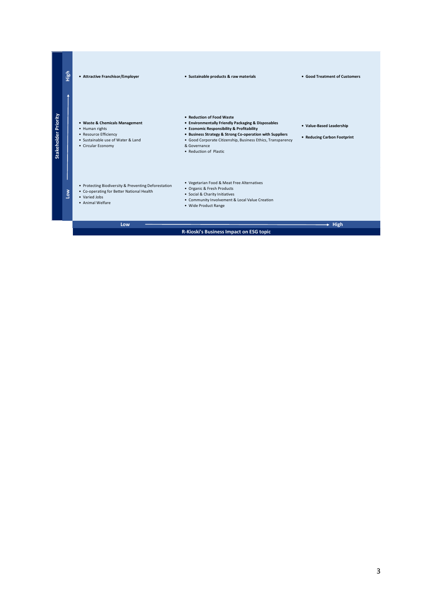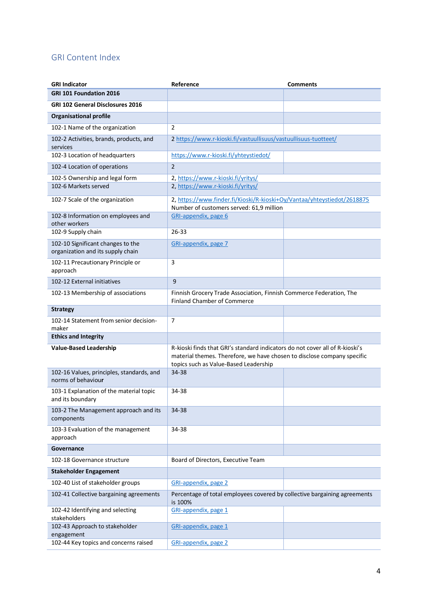# GRI Content Index

| <b>GRI Indicator</b>                                                   | Reference                                                                                                                                                                                        | <b>Comments</b> |
|------------------------------------------------------------------------|--------------------------------------------------------------------------------------------------------------------------------------------------------------------------------------------------|-----------------|
| GRI 101 Foundation 2016                                                |                                                                                                                                                                                                  |                 |
| <b>GRI 102 General Disclosures 2016</b>                                |                                                                                                                                                                                                  |                 |
| <b>Organisational profile</b>                                          |                                                                                                                                                                                                  |                 |
| 102-1 Name of the organization                                         | 2                                                                                                                                                                                                |                 |
| 102-2 Activities, brands, products, and<br>services                    | 2 https://www.r-kioski.fi/vastuullisuus/vastuullisuus-tuotteet/                                                                                                                                  |                 |
| 102-3 Location of headquarters                                         | https://www.r-kioski.fi/yhteystiedot/                                                                                                                                                            |                 |
| 102-4 Location of operations                                           | $\overline{2}$                                                                                                                                                                                   |                 |
| 102-5 Ownership and legal form                                         | 2, https://www.r-kioski.fi/yritys/                                                                                                                                                               |                 |
| 102-6 Markets served                                                   | 2, https://www.r-kioski.fi/yritys/                                                                                                                                                               |                 |
| 102-7 Scale of the organization                                        | 2, https://www.finder.fi/Kioski/R-kioski+Oy/Vantaa/yhteystiedot/2618875<br>Number of customers served: 61,9 million                                                                              |                 |
| 102-8 Information on employees and<br>other workers                    | GRI-appendix, page 6                                                                                                                                                                             |                 |
| 102-9 Supply chain                                                     | 26-33                                                                                                                                                                                            |                 |
| 102-10 Significant changes to the<br>organization and its supply chain | GRI-appendix, page 7                                                                                                                                                                             |                 |
| 102-11 Precautionary Principle or<br>approach                          | 3                                                                                                                                                                                                |                 |
| 102-12 External initiatives                                            | 9                                                                                                                                                                                                |                 |
| 102-13 Membership of associations                                      | Finnish Grocery Trade Association, Finnish Commerce Federation, The<br><b>Finland Chamber of Commerce</b>                                                                                        |                 |
| <b>Strategy</b>                                                        |                                                                                                                                                                                                  |                 |
| 102-14 Statement from senior decision-<br>maker                        | $\overline{7}$                                                                                                                                                                                   |                 |
| <b>Ethics and Integrity</b>                                            |                                                                                                                                                                                                  |                 |
| <b>Value-Based Leadership</b>                                          | R-kioski finds that GRI's standard indicators do not cover all of R-kioski's<br>material themes. Therefore, we have chosen to disclose company specific<br>topics such as Value-Based Leadership |                 |
| 102-16 Values, principles, standards, and<br>norms of behaviour        | 34-38                                                                                                                                                                                            |                 |
| 103-1 Explanation of the material topic<br>and its boundary            | 34-38                                                                                                                                                                                            |                 |
| 103-2 The Management approach and its<br>components                    | 34-38                                                                                                                                                                                            |                 |
| 103-3 Evaluation of the management<br>approach                         | 34-38                                                                                                                                                                                            |                 |
| Governance                                                             |                                                                                                                                                                                                  |                 |
| 102-18 Governance structure                                            | Board of Directors, Executive Team                                                                                                                                                               |                 |
| <b>Stakeholder Engagement</b>                                          |                                                                                                                                                                                                  |                 |
| 102-40 List of stakeholder groups                                      | GRI-appendix, page 2                                                                                                                                                                             |                 |
| 102-41 Collective bargaining agreements                                | Percentage of total employees covered by collective bargaining agreements<br>is 100%                                                                                                             |                 |
| 102-42 Identifying and selecting<br>stakeholders                       | GRI-appendix, page 1                                                                                                                                                                             |                 |
| 102-43 Approach to stakeholder<br>engagement                           | GRI-appendix, page 1                                                                                                                                                                             |                 |
| 102-44 Key topics and concerns raised                                  | GRI-appendix, page 2                                                                                                                                                                             |                 |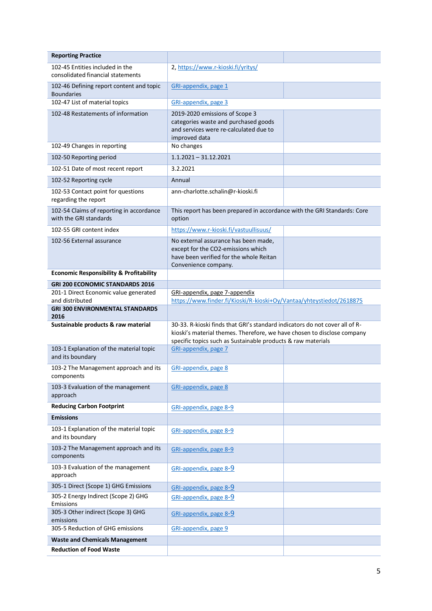| <b>Reporting Practice</b>                                            |                                                                                                                                                                                                                        |  |
|----------------------------------------------------------------------|------------------------------------------------------------------------------------------------------------------------------------------------------------------------------------------------------------------------|--|
| 102-45 Entities included in the<br>consolidated financial statements | 2, https://www.r-kioski.fi/yritys/                                                                                                                                                                                     |  |
| 102-46 Defining report content and topic<br><b>Boundaries</b>        | GRI-appendix, page 1                                                                                                                                                                                                   |  |
| 102-47 List of material topics                                       | GRI-appendix, page 3                                                                                                                                                                                                   |  |
| 102-48 Restatements of information                                   | 2019-2020 emissions of Scope 3<br>categories waste and purchased goods<br>and services were re-calculated due to<br>improved data                                                                                      |  |
| 102-49 Changes in reporting                                          | No changes                                                                                                                                                                                                             |  |
| 102-50 Reporting period                                              | $1.1.2021 - 31.12.2021$                                                                                                                                                                                                |  |
| 102-51 Date of most recent report                                    | 3.2.2021                                                                                                                                                                                                               |  |
| 102-52 Reporting cycle                                               | Annual                                                                                                                                                                                                                 |  |
| 102-53 Contact point for questions<br>regarding the report           | ann-charlotte.schalin@r-kioski.fi                                                                                                                                                                                      |  |
| 102-54 Claims of reporting in accordance<br>with the GRI standards   | This report has been prepared in accordance with the GRI Standards: Core<br>option                                                                                                                                     |  |
| 102-55 GRI content index                                             | https://www.r-kioski.fi/vastuullisuus/                                                                                                                                                                                 |  |
| 102-56 External assurance                                            | No external assurance has been made,<br>except for the CO2-emissions which<br>have been verified for the whole Reitan<br>Convenience company.                                                                          |  |
| <b>Economic Responsibility &amp; Profitability</b>                   |                                                                                                                                                                                                                        |  |
| <b>GRI 200 ECONOMIC STANDARDS 2016</b>                               |                                                                                                                                                                                                                        |  |
| 201-1 Direct Economic value generated<br>and distributed             | GRI-appendix, page 7-appendix<br>https://www.finder.fi/Kioski/R-kioski+Oy/Vantaa/yhteystiedot/2618875                                                                                                                  |  |
| <b>GRI 300 ENVIRONMENTAL STANDARDS</b><br>2016                       |                                                                                                                                                                                                                        |  |
| Sustainable products & raw material                                  | 30-33. R-kioski finds that GRI's standard indicators do not cover all of R-<br>kioski's material themes. Therefore, we have chosen to disclose company<br>specific topics such as Sustainable products & raw materials |  |
| 103-1 Explanation of the material topic<br>and its boundary          | GRI-appendix, page 7                                                                                                                                                                                                   |  |
| 103-2 The Management approach and its<br>components                  | GRI-appendix, page 8                                                                                                                                                                                                   |  |
| 103-3 Evaluation of the management<br>approach                       | GRI-appendix, page 8                                                                                                                                                                                                   |  |
| <b>Reducing Carbon Footprint</b>                                     | GRI-appendix, page 8-9                                                                                                                                                                                                 |  |
| <b>Emissions</b>                                                     |                                                                                                                                                                                                                        |  |
| 103-1 Explanation of the material topic<br>and its boundary          | GRI-appendix, page 8-9                                                                                                                                                                                                 |  |
| 103-2 The Management approach and its<br>components                  | GRI-appendix, page 8-9                                                                                                                                                                                                 |  |
| 103-3 Evaluation of the management<br>approach                       | GRI-appendix, page 8-9                                                                                                                                                                                                 |  |
| 305-1 Direct (Scope 1) GHG Emissions                                 | GRI-appendix, page 8-9                                                                                                                                                                                                 |  |
| 305-2 Energy Indirect (Scope 2) GHG<br>Emissions                     | GRI-appendix, page 8-9                                                                                                                                                                                                 |  |
| 305-3 Other indirect (Scope 3) GHG<br>emissions                      | GRI-appendix, page 8-9                                                                                                                                                                                                 |  |
| 305-5 Reduction of GHG emissions                                     | GRI-appendix, page 9                                                                                                                                                                                                   |  |
| <b>Waste and Chemicals Management</b>                                |                                                                                                                                                                                                                        |  |
| <b>Reduction of Food Waste</b>                                       |                                                                                                                                                                                                                        |  |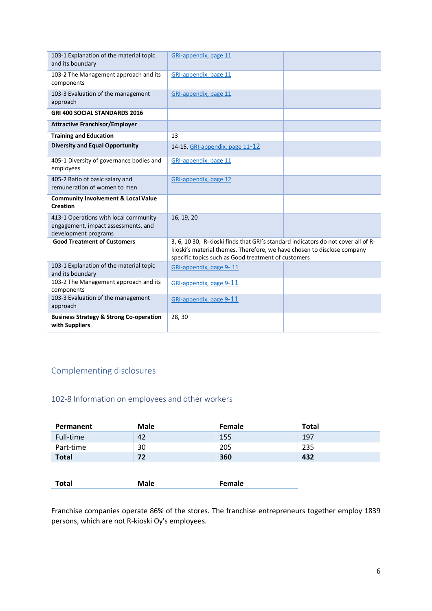| 103-1 Explanation of the material topic<br>and its boundary                                          | GRI-appendix, page 11                                                                                                                                                                                               |  |  |
|------------------------------------------------------------------------------------------------------|---------------------------------------------------------------------------------------------------------------------------------------------------------------------------------------------------------------------|--|--|
| 103-2 The Management approach and its<br>components                                                  | GRI-appendix, page 11                                                                                                                                                                                               |  |  |
| 103-3 Evaluation of the management<br>approach                                                       | GRI-appendix, page 11                                                                                                                                                                                               |  |  |
| <b>GRI 400 SOCIAL STANDARDS 2016</b>                                                                 |                                                                                                                                                                                                                     |  |  |
| <b>Attractive Franchisor/Employer</b>                                                                |                                                                                                                                                                                                                     |  |  |
| <b>Training and Education</b>                                                                        | 13                                                                                                                                                                                                                  |  |  |
| <b>Diversity and Equal Opportunity</b>                                                               | 14-15, GRI-appendix, page 11-12                                                                                                                                                                                     |  |  |
| 405-1 Diversity of governance bodies and<br>employees                                                | GRI-appendix, page 11                                                                                                                                                                                               |  |  |
| 405-2 Ratio of basic salary and<br>remuneration of women to men                                      | GRI-appendix, page 12                                                                                                                                                                                               |  |  |
| <b>Community Involvement &amp; Local Value</b><br><b>Creation</b>                                    |                                                                                                                                                                                                                     |  |  |
| 413-1 Operations with local community<br>engagement, impact assessments, and<br>development programs | 16, 19, 20                                                                                                                                                                                                          |  |  |
| <b>Good Treatment of Customers</b>                                                                   | 3, 6, 10 30, R-kioski finds that GRI's standard indicators do not cover all of R-<br>kioski's material themes. Therefore, we have chosen to disclose company<br>specific topics such as Good treatment of customers |  |  |
| 103-1 Explanation of the material topic<br>and its boundary                                          | GRI-appendix, page 9-11                                                                                                                                                                                             |  |  |
| 103-2 The Management approach and its<br>components                                                  | GRI-appendix, page 9-11                                                                                                                                                                                             |  |  |
| 103-3 Evaluation of the management<br>approach                                                       | GRI-appendix, page 9-11                                                                                                                                                                                             |  |  |
| <b>Business Strategy &amp; Strong Co-operation</b><br>with Suppliers                                 | 28, 30                                                                                                                                                                                                              |  |  |

# Complementing disclosures

# <span id="page-5-0"></span>102-8 Information on employees and other workers

| Permanent    | <b>Male</b> | Female | <b>Total</b> |
|--------------|-------------|--------|--------------|
| Full-time    | 42          | 155    | 197          |
| Part-time    | 30          | 205    | 235          |
| <b>Total</b> | 72          | 360    | 432          |
|              |             |        |              |
| <b>Total</b> | <b>Male</b> | Female |              |

Franchise companies operate 86% of the stores. The franchise entrepreneurs together employ 1839 persons, which are not R-kioski Oy's employees.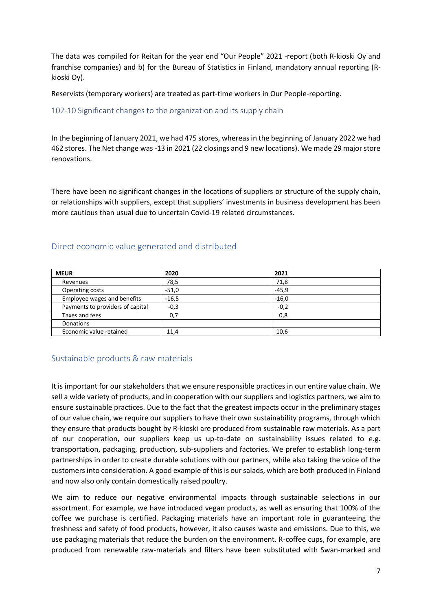The data was compiled for Reitan for the year end "Our People" 2021 -report (both R-kioski Oy and franchise companies) and b) for the Bureau of Statistics in Finland, mandatory annual reporting (Rkioski Oy).

Reservists (temporary workers) are treated as part-time workers in Our People-reporting.

## <span id="page-6-0"></span>102-10 Significant changes to the organization and its supply chain

In the beginning of January 2021, we had 475 stores, whereas in the beginning of January 2022 we had 462 stores. The Net change was -13 in 2021 (22 closings and 9 new locations). We made 29 major store renovations.

There have been no significant changes in the locations of suppliers or structure of the supply chain, or relationships with suppliers, except that suppliers' investments in business development has been more cautious than usual due to uncertain Covid-19 related circumstances.

| <b>MEUR</b>                      | 2020    | 2021    |
|----------------------------------|---------|---------|
| Revenues                         | 78,5    | 71,8    |
| Operating costs                  | $-51,0$ | $-45,9$ |
| Employee wages and benefits      | $-16,5$ | $-16,0$ |
| Payments to providers of capital | $-0,3$  | $-0,2$  |
| Taxes and fees                   | 0,7     | 0,8     |
| <b>Donations</b>                 |         |         |
| Economic value retained          | 11,4    | 10,6    |

# <span id="page-6-1"></span>Direct economic value generated and distributed

# <span id="page-6-2"></span>Sustainable products & raw materials

It is important for our stakeholders that we ensure responsible practices in our entire value chain. We sell a wide variety of products, and in cooperation with our suppliers and logistics partners, we aim to ensure sustainable practices. Due to the fact that the greatest impacts occur in the preliminary stages of our value chain, we require our suppliers to have their own sustainability programs, through which they ensure that products bought by R-kioski are produced from sustainable raw materials. As a part of our cooperation, our suppliers keep us up-to-date on sustainability issues related to e.g. transportation, packaging, production, sub-suppliers and factories. We prefer to establish long-term partnerships in order to create durable solutions with our partners, while also taking the voice of the customers into consideration. A good example of this is our salads, which are both produced in Finland and now also only contain domestically raised poultry.

We aim to reduce our negative environmental impacts through sustainable selections in our assortment. For example, we have introduced vegan products, as well as ensuring that 100% of the coffee we purchase is certified. Packaging materials have an important role in guaranteeing the freshness and safety of food products, however, it also causes waste and emissions. Due to this, we use packaging materials that reduce the burden on the environment. R-coffee cups, for example, are produced from renewable raw-materials and filters have been substituted with Swan-marked and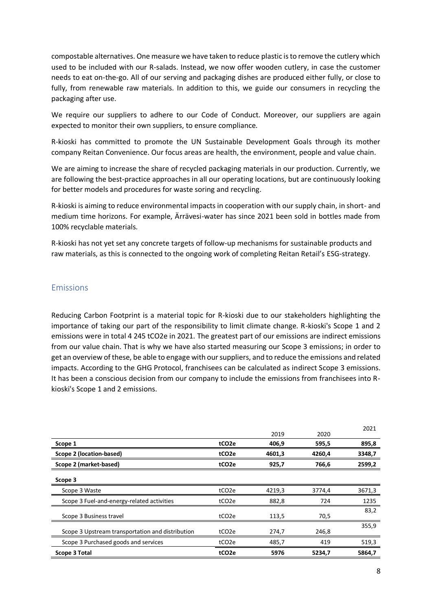compostable alternatives. One measure we have taken to reduce plastic is to remove the cutlery which used to be included with our R-salads. Instead, we now offer wooden cutlery, in case the customer needs to eat on-the-go. All of our serving and packaging dishes are produced either fully, or close to fully, from renewable raw materials. In addition to this, we guide our consumers in recycling the packaging after use.

We require our suppliers to adhere to our Code of Conduct. Moreover, our suppliers are again expected to monitor their own suppliers, to ensure compliance.

R-kioski has committed to promote the UN Sustainable Development Goals through its mother company Reitan Convenience. Our focus areas are health, the environment, people and value chain.

We are aiming to increase the share of recycled packaging materials in our production. Currently, we are following the best-practice approaches in all our operating locations, but are continuously looking for better models and procedures for waste soring and recycling.

R-kioski is aiming to reduce environmental impacts in cooperation with our supply chain, in short- and medium time horizons. For example, Ärrävesi-water has since 2021 been sold in bottles made from 100% recyclable materials.

R-kioski has not yet set any concrete targets of follow-up mechanisms for sustainable products and raw materials, as this is connected to the ongoing work of completing Reitan Retail's ESG-strategy.

# <span id="page-7-0"></span>Emissions

Reducing Carbon Footprint is a material topic for R-kioski due to our stakeholders highlighting the importance of taking our part of the responsibility to limit climate change. R-kioski's Scope 1 and 2 emissions were in total 4 245 tCO2e in 2021. The greatest part of our emissions are indirect emissions from our value chain. That is why we have also started measuring our Scope 3 emissions; in order to get an overview of these, be able to engage with our suppliers, and to reduce the emissions and related impacts. According to the GHG Protocol, franchisees can be calculated as indirect Scope 3 emissions. It has been a conscious decision from our company to include the emissions from franchisees into Rkioski's Scope 1 and 2 emissions.

|                                                  |                    |        |        | 2021   |
|--------------------------------------------------|--------------------|--------|--------|--------|
|                                                  |                    | 2019   | 2020   |        |
| Scope 1                                          | tCO <sub>2</sub> e | 406,9  | 595,5  | 895,8  |
| Scope 2 (location-based)                         | tCO <sub>2</sub> e | 4601,3 | 4260,4 | 3348,7 |
| Scope 2 (market-based)                           | tCO <sub>2</sub> e | 925,7  | 766,6  | 2599,2 |
| Scope 3                                          |                    |        |        |        |
| Scope 3 Waste                                    | tCO <sub>2e</sub>  | 4219,3 | 3774,4 | 3671,3 |
| Scope 3 Fuel-and-energy-related activities       | tCO <sub>2</sub> e | 882,8  | 724    | 1235   |
| Scope 3 Business travel                          | tCO <sub>2e</sub>  | 113,5  | 70,5   | 83,2   |
| Scope 3 Upstream transportation and distribution | tCO <sub>2e</sub>  | 274,7  | 246,8  | 355,9  |
| Scope 3 Purchased goods and services             | tCO <sub>2e</sub>  | 485,7  | 419    | 519,3  |
| <b>Scope 3 Total</b>                             | tCO <sub>2e</sub>  | 5976   | 5234.7 | 5864,7 |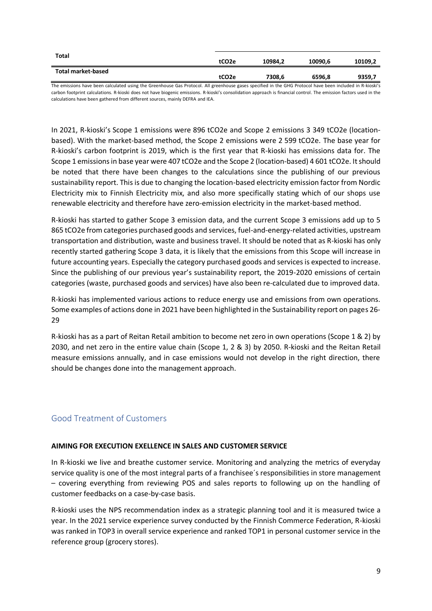| Total market-based | tCO <sub>2</sub> e | 10984.2 | 10090.6 | 10109,2 |
|--------------------|--------------------|---------|---------|---------|
|                    | tCO <sub>2</sub> e | 7308.6  | 6596,8  | 9359,7  |

The emissions have been calculated using the Greenhouse Gas Protocol. All greenhouse gases specified in the GHG Protocol have been included in R-kioski's carbon footprint calculations. R-kioski does not have biogenic emissions. R-kioski's consolidation approach is financial control. The emission factors used in the calculations have been gathered from different sources, mainly DEFRA and IEA.

In 2021, R-kioski's Scope 1 emissions were 896 tCO2e and Scope 2 emissions 3 349 tCO2e (locationbased). With the market-based method, the Scope 2 emissions were 2 599 tCO2e. The base year for R-kioski's carbon footprint is 2019, which is the first year that R-kioski has emissions data for. The Scope 1 emissions in base year were 407 tCO2e and the Scope 2 (location-based) 4 601 tCO2e. It should be noted that there have been changes to the calculations since the publishing of our previous sustainability report. This is due to changing the location-based electricity emission factor from Nordic Electricity mix to Finnish Electricity mix, and also more specifically stating which of our shops use renewable electricity and therefore have zero-emission electricity in the market-based method.

R-kioski has started to gather Scope 3 emission data, and the current Scope 3 emissions add up to 5 865 tCO2e from categories purchased goods and services, fuel-and-energy-related activities, upstream transportation and distribution, waste and business travel. It should be noted that as R-kioski has only recently started gathering Scope 3 data, it is likely that the emissions from this Scope will increase in future accounting years. Especially the category purchased goods and services is expected to increase. Since the publishing of our previous year's sustainability report, the 2019-2020 emissions of certain categories (waste, purchased goods and services) have also been re-calculated due to improved data.

R-kioski has implemented various actions to reduce energy use and emissions from own operations. Some examples of actions done in 2021 have been highlighted in the Sustainability report on pages 26- 29

R-kioski has as a part of Reitan Retail ambition to become net zero in own operations (Scope 1 & 2) by 2030, and net zero in the entire value chain (Scope 1, 2 & 3) by 2050. R-kioski and the Reitan Retail measure emissions annually, and in case emissions would not develop in the right direction, there should be changes done into the management approach.

# <span id="page-8-0"></span>Good Treatment of Customers

#### **AIMING FOR EXECUTION EXELLENCE IN SALES AND CUSTOMER SERVICE**

In R-kioski we live and breathe customer service. Monitoring and analyzing the metrics of everyday service quality is one of the most integral parts of a franchisee´s responsibilities in store management – covering everything from reviewing POS and sales reports to following up on the handling of customer feedbacks on a case-by-case basis.

R-kioski uses the NPS recommendation index as a strategic planning tool and it is measured twice a year. In the 2021 service experience survey conducted by the Finnish Commerce Federation, R-kioski was ranked in TOP3 in overall service experience and ranked TOP1 in personal customer service in the reference group (grocery stores).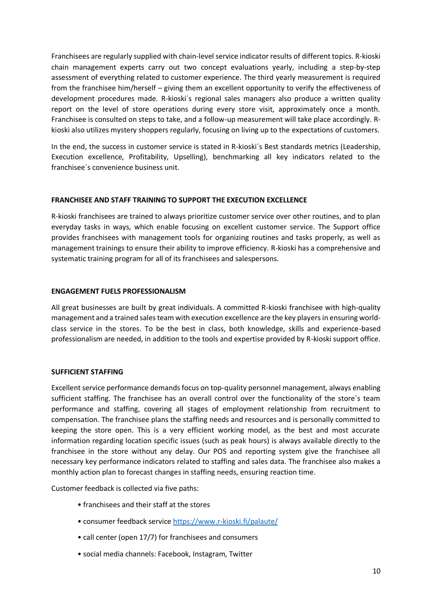Franchisees are regularly supplied with chain-level service indicator results of different topics. R-kioski chain management experts carry out two concept evaluations yearly, including a step-by-step assessment of everything related to customer experience. The third yearly measurement is required from the franchisee him/herself – giving them an excellent opportunity to verify the effectiveness of development procedures made. R-kioski´s regional sales managers also produce a written quality report on the level of store operations during every store visit, approximately once a month. Franchisee is consulted on steps to take, and a follow-up measurement will take place accordingly. Rkioski also utilizes mystery shoppers regularly, focusing on living up to the expectations of customers.

In the end, the success in customer service is stated in R-kioski´s Best standards metrics (Leadership, Execution excellence, Profitability, Upselling), benchmarking all key indicators related to the franchisee´s convenience business unit.

#### **FRANCHISEE AND STAFF TRAINING TO SUPPORT THE EXECUTION EXCELLENCE**

R-kioski franchisees are trained to always prioritize customer service over other routines, and to plan everyday tasks in ways, which enable focusing on excellent customer service. The Support office provides franchisees with management tools for organizing routines and tasks properly, as well as management trainings to ensure their ability to improve efficiency. R-kioski has a comprehensive and systematic training program for all of its franchisees and salespersons.

#### **ENGAGEMENT FUELS PROFESSIONALISM**

All great businesses are built by great individuals. A committed R-kioski franchisee with high-quality management and a trained sales team with execution excellence are the key players in ensuring worldclass service in the stores. To be the best in class, both knowledge, skills and experience-based professionalism are needed, in addition to the tools and expertise provided by R-kioski support office.

#### **SUFFICIENT STAFFING**

Excellent service performance demands focus on top-quality personnel management, always enabling sufficient staffing. The franchisee has an overall control over the functionality of the store´s team performance and staffing, covering all stages of employment relationship from recruitment to compensation. The franchisee plans the staffing needs and resources and is personally committed to keeping the store open. This is a very efficient working model, as the best and most accurate information regarding location specific issues (such as peak hours) is always available directly to the franchisee in the store without any delay. Our POS and reporting system give the franchisee all necessary key performance indicators related to staffing and sales data. The franchisee also makes a monthly action plan to forecast changes in staffing needs, ensuring reaction time.

Customer feedback is collected via five paths:

- franchisees and their staff at the stores
- consumer feedback service <https://www.r-kioski.fi/palaute/>
- call center (open 17/7) for franchisees and consumers
- social media channels: Facebook, Instagram, Twitter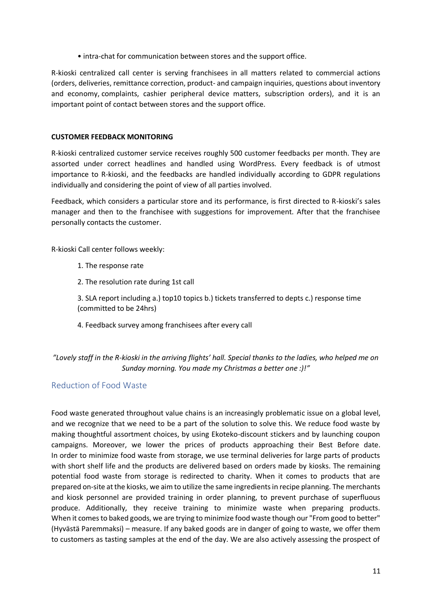• intra-chat for communication between stores and the support office.

R-kioski centralized call center is serving franchisees in all matters related to commercial actions (orders, deliveries, remittance correction, product- and campaign inquiries, questions about inventory and economy, complaints, cashier peripheral device matters, subscription orders), and it is an important point of contact between stores and the support office.

#### **CUSTOMER FEEDBACK MONITORING**

R-kioski centralized customer service receives roughly 500 customer feedbacks per month. They are assorted under correct headlines and handled using WordPress. Every feedback is of utmost importance to R-kioski, and the feedbacks are handled individually according to GDPR regulations individually and considering the point of view of all parties involved.

Feedback, which considers a particular store and its performance, is first directed to R-kioski's sales manager and then to the franchisee with suggestions for improvement. After that the franchisee personally contacts the customer.

R-kioski Call center follows weekly:

- 1. The response rate
- 2. The resolution rate during 1st call

3. SLA report including a.) top10 topics b.) tickets transferred to depts c.) response time (committed to be 24hrs)

4. Feedback survey among franchisees after every call

## *"Lovely staff in the R-kioski in the arriving flights' hall. Special thanks to the ladies, who helped me on Sunday morning. You made my Christmas a better one :)!"*

#### <span id="page-10-0"></span>Reduction of Food Waste

Food waste generated throughout value chains is an increasingly problematic issue on a global level, and we recognize that we need to be a part of the solution to solve this. We reduce food waste by making thoughtful assortment choices, by using Ekoteko-discount stickers and by launching coupon campaigns. Moreover, we lower the prices of products approaching their Best Before date. In order to minimize food waste from storage, we use terminal deliveries for large parts of products with short shelf life and the products are delivered based on orders made by kiosks. The remaining potential food waste from storage is redirected to charity. When it comes to products that are prepared on-site at the kiosks, we aim to utilize the same ingredients in recipe planning. The merchants and kiosk personnel are provided training in order planning, to prevent purchase of superfluous produce. Additionally, they receive training to minimize waste when preparing products. When it comes to baked goods, we are trying to minimize food waste though our "From good to better" (Hyvästä Paremmaksi) – measure. If any baked goods are in danger of going to waste, we offer them to customers as tasting samples at the end of the day. We are also actively assessing the prospect of